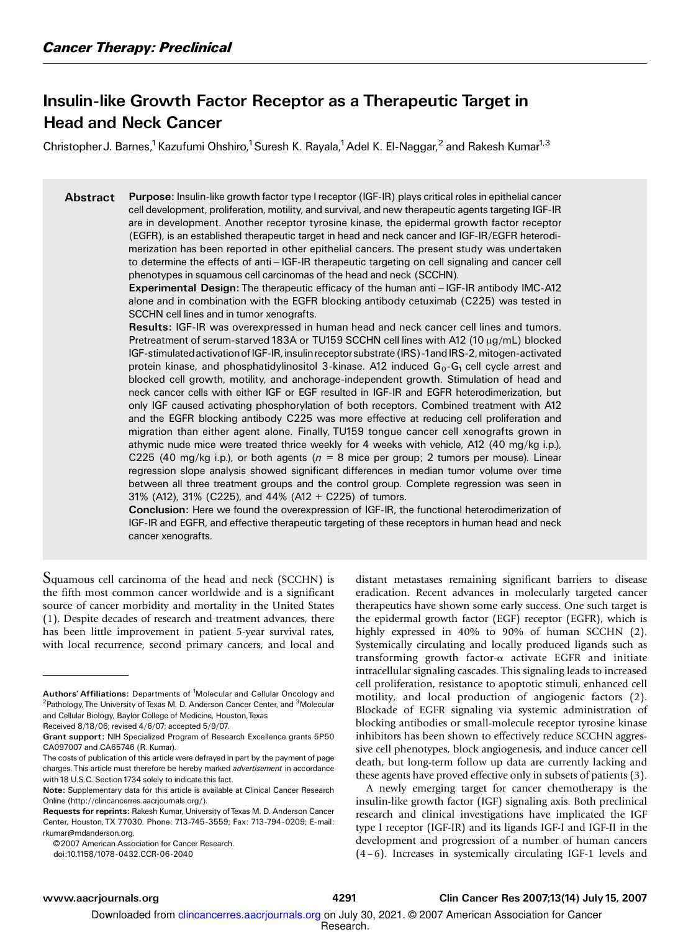## Insulin-like Growth Factor Receptor as a Therapeutic Target in Head and Neck Cancer

Christopher J. Barnes,<sup>1</sup> Kazufumi Ohshiro,<sup>1</sup> Suresh K. Rayala,<sup>1</sup> Adel K. El-Naggar,<sup>2</sup> and Rakesh Kumar<sup>1,3</sup>

Abstract Purpose: Insulin-like growth factor type I receptor (IGF-IR) plays critical roles in epithelial cancer cell development, proliferation, motility, and survival, and new therapeutic agents targeting IGF-IR are in development. Another receptor tyrosine kinase, the epidermal growth factor receptor (EGFR), is an established therapeutic target in head and neck cancer and IGF-IR/EGFR heterodimerization has been reported in other epithelial cancers. The present study was undertaken to determine the effects of anti-IGF-IR therapeutic targeting on cell signaling and cancer cell phenotypes in squamous cell carcinomas of the head and neck (SCCHN).

> Experimental Design: The therapeutic efficacy of the human anti – IGF-IR antibody IMC-A12 alone and in combination with the EGFR blockingantibody cetuximab (C225) was tested in SCCHN cell lines and in tumor xenografts.

> Results: IGF-IR was overexpressed in human head and neck cancer cell lines and tumors. Pretreatment of serum-starved 183A or TU159 SCCHN cell lines with A12 (10  $\mu$ g/mL) blocked IGF-stimulated activation of IGF-IR, insulin receptor substrate (IRS)-1 and IRS-2, mitogen-activated protein kinase, and phosphatidylinositol 3-kinase. A12 induced  $G_0-G_1$  cell cycle arrest and blocked cell growth, motility, and anchorage-independent growth. Stimulation of head and neck cancer cells with either IGF or EGF resulted in IGF-IR and EGFR heterodimerization, but only IGF caused activating phosphorylation of both receptors. Combined treatment with A12 and the EGFR blocking antibody C225 was more effective at reducing cell proliferation and migration than either agent alone. Finally, TU159 tongue cancer cell xenografts grown in athymic nude mice were treated thrice weekly for 4 weeks with vehicle, A12 (40 mg/kg i.p.), C225 (40 mg/kg i.p.), or both agents ( $n = 8$  mice per group; 2 tumors per mouse). Linear regression slope analysis showed significant differences in median tumor volume over time between all three treatment groups and the control group. Complete regression was seen in 31% (A12), 31% (C225), and 44% (A12 + C225) of tumors.

> Conclusion: Here we found the overexpression of IGF-IR, the functional heterodimerization of IGF-IR and EGFR, and effective therapeutic targeting of these receptors in human head and neck cancer xenografts.

Squamous cell carcinoma of the head and neck (SCCHN) is the fifth most common cancer worldwide and is a significant source of cancer morbidity and mortality in the United States (1). Despite decades of research and treatment advances, there has been little improvement in patient 5-year survival rates, with local recurrence, second primary cancers, and local and

Received 8/18/06; revised 4/6/07; accepted 5/9/07.

doi:10.1158/1078-0432.CCR-06-2040

distant metastases remaining significant barriers to disease eradication. Recent advances in molecularly targeted cancer therapeutics have shown some early success. One such target is the epidermal growth factor (EGF) receptor (EGFR), which is highly expressed in 40% to 90% of human SCCHN (2). Systemically circulating and locally produced ligands such as transforming growth factor- $\alpha$  activate EGFR and initiate intracellular signaling cascades. This signaling leads to increased cell proliferation, resistance to apoptotic stimuli, enhanced cell motility, and local production of angiogenic factors (2). Blockade of EGFR signaling via systemic administration of blocking antibodies or small-molecule receptor tyrosine kinase inhibitors has been shown to effectively reduce SCCHN aggressive cell phenotypes, block angiogenesis, and induce cancer cell death, but long-term follow up data are currently lacking and these agents have proved effective only in subsets of patients (3).

A newly emerging target for cancer chemotherapy is the insulin-like growth factor (IGF) signaling axis. Both preclinical research and clinical investigations have implicated the IGF type I receptor (IGF-IR) and its ligands IGF-I and IGF-II in the development and progression of a number of human cancers (4 –6). Increases in systemically circulating IGF-1 levels and

Authors' Affiliations: Departments of <sup>1</sup>Molecular and Cellular Oncology and <sup>2</sup>Pathology, The University of Texas M. D. Anderson Cancer Center, and <sup>3</sup>Molecular and Cellular Biology, Baylor College of Medicine, Houston,Texas

Grant support: NIH Specialized Program of Research Excellence grants 5P50 CA097007 and CA65746 (R. Kumar).

The costs of publication of this article were defrayed in part by the payment of page charges. This article must therefore be hereby marked advertisement in accordance with 18 U.S.C. Section 1734 solely to indicate this fact.

Note: Supplementary data for this article is available at Clinical Cancer Research Online (http://clincancerres.aacrjournals.org/).

Requests for reprints: Rakesh Kumar, University of Texas M. D. Anderson Cancer Center, Houston, TX 77030. Phone: 713-745-3559; Fax: 713-794-0209; E-mail: rkumar@mdanderson.org.

<sup>© 2007</sup> American Association for Cancer Research.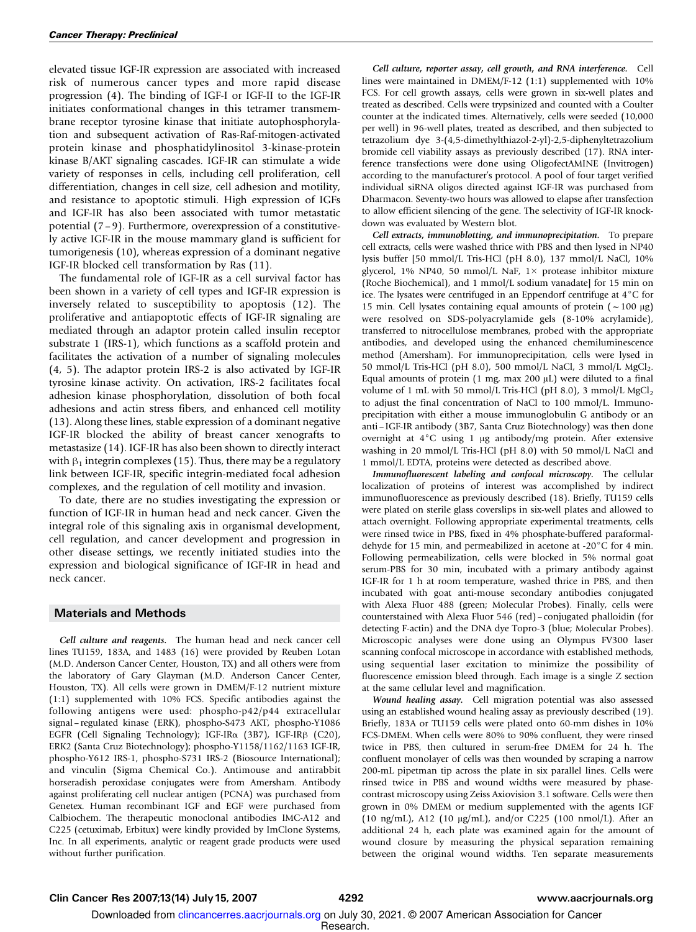elevated tissue IGF-IR expression are associated with increased risk of numerous cancer types and more rapid disease progression (4). The binding of IGF-I or IGF-II to the IGF-IR initiates conformational changes in this tetramer transmembrane receptor tyrosine kinase that initiate autophosphorylation and subsequent activation of Ras-Raf-mitogen-activated protein kinase and phosphatidylinositol 3-kinase-protein kinase B/AKT signaling cascades. IGF-IR can stimulate a wide variety of responses in cells, including cell proliferation, cell differentiation, changes in cell size, cell adhesion and motility, and resistance to apoptotic stimuli. High expression of IGFs and IGF-IR has also been associated with tumor metastatic potential (7 – 9). Furthermore, overexpression of a constitutively active IGF-IR in the mouse mammary gland is sufficient for tumorigenesis (10), whereas expression of a dominant negative IGF-IR blocked cell transformation by Ras (11).

The fundamental role of IGF-IR as a cell survival factor has been shown in a variety of cell types and IGF-IR expression is inversely related to susceptibility to apoptosis (12). The proliferative and antiapoptotic effects of IGF-IR signaling are mediated through an adaptor protein called insulin receptor substrate 1 (IRS-1), which functions as a scaffold protein and facilitates the activation of a number of signaling molecules (4, 5). The adaptor protein IRS-2 is also activated by IGF-IR tyrosine kinase activity. On activation, IRS-2 facilitates focal adhesion kinase phosphorylation, dissolution of both focal adhesions and actin stress fibers, and enhanced cell motility (13). Along these lines, stable expression of a dominant negative IGF-IR blocked the ability of breast cancer xenografts to metastasize (14). IGF-IR has also been shown to directly interact with  $\beta_1$  integrin complexes (15). Thus, there may be a regulatory link between IGF-IR, specific integrin-mediated focal adhesion complexes, and the regulation of cell motility and invasion.

To date, there are no studies investigating the expression or function of IGF-IR in human head and neck cancer. Given the integral role of this signaling axis in organismal development, cell regulation, and cancer development and progression in other disease settings, we recently initiated studies into the expression and biological significance of IGF-IR in head and neck cancer.

## Materials and Methods

Cell culture and reagents. The human head and neck cancer cell lines TU159, 183A, and 1483 (16) were provided by Reuben Lotan (M.D. Anderson Cancer Center, Houston, TX) and all others were from the laboratory of Gary Glayman (M.D. Anderson Cancer Center, Houston, TX). All cells were grown in DMEM/F-12 nutrient mixture (1:1) supplemented with 10% FCS. Specific antibodies against the following antigens were used: phospho-p42/p44 extracellular signal – regulated kinase (ERK), phospho-S473 AKT, phospho-Y1086 EGFR (Cell Signaling Technology); IGF-IRα (3B7), IGF-IRβ (C20), ERK2 (Santa Cruz Biotechnology); phospho-Y1158/1162/1163 IGF-IR, phospho-Y612 IRS-1, phospho-S731 IRS-2 (Biosource International); and vinculin (Sigma Chemical Co.). Antimouse and antirabbit horseradish peroxidase conjugates were from Amersham. Antibody against proliferating cell nuclear antigen (PCNA) was purchased from Genetex. Human recombinant IGF and EGF were purchased from Calbiochem. The therapeutic monoclonal antibodies IMC-A12 and C225 (cetuximab, Erbitux) were kindly provided by ImClone Systems, Inc. In all experiments, analytic or reagent grade products were used without further purification.

Cell culture, reporter assay, cell growth, and RNA interference. Cell lines were maintained in DMEM/F-12 (1:1) supplemented with 10% FCS. For cell growth assays, cells were grown in six-well plates and treated as described. Cells were trypsinized and counted with a Coulter counter at the indicated times. Alternatively, cells were seeded (10,000 per well) in 96-well plates, treated as described, and then subjected to tetrazolium dye 3-(4,5-dimethylthiazol-2-yl)-2,5-diphenyltetrazolium bromide cell viability assays as previously described (17). RNA interference transfections were done using OligofectAMINE (Invitrogen) according to the manufacturer's protocol. A pool of four target verified individual siRNA oligos directed against IGF-IR was purchased from Dharmacon. Seventy-two hours was allowed to elapse after transfection to allow efficient silencing of the gene. The selectivity of IGF-IR knockdown was evaluated by Western blot.

Cell extracts, immunoblotting, and immunoprecipitation. To prepare cell extracts, cells were washed thrice with PBS and then lysed in NP40 lysis buffer [50 mmol/L Tris-HCl (pH 8.0), 137 mmol/L NaCl, 10% glycerol, 1% NP40, 50 mmol/L NaF,  $1 \times$  protease inhibitor mixture (Roche Biochemical), and 1 mmol/L sodium vanadate] for 15 min on ice. The lysates were centrifuged in an Eppendorf centrifuge at  $4^{\circ}$ C for 15 min. Cell lysates containing equal amounts of protein  $(-100 \mu g)$ were resolved on SDS-polyacrylamide gels (8-10% acrylamide), transferred to nitrocellulose membranes, probed with the appropriate antibodies, and developed using the enhanced chemiluminescence method (Amersham). For immunoprecipitation, cells were lysed in 50 mmol/L Tris-HCl (pH 8.0), 500 mmol/L NaCl, 3 mmol/L MgCl<sub>2</sub>. Equal amounts of protein  $(1 \text{ mg}, \text{max } 200 \text{ µL})$  were diluted to a final volume of 1 mL with 50 mmol/L Tris-HCl (pH 8.0), 3 mmol/L  $MgCl<sub>2</sub>$ to adjust the final concentration of NaCl to 100 mmol/L. Immunoprecipitation with either a mouse immunoglobulin G antibody or an anti – IGF-IR antibody (3B7, Santa Cruz Biotechnology) was then done overnight at  $4^{\circ}$ C using 1 µg antibody/mg protein. After extensive washing in 20 mmol/L Tris-HCl (pH 8.0) with 50 mmol/L NaCl and 1 mmol/L EDTA, proteins were detected as described above.

Immunofluorescent labeling and confocal microscopy. The cellular localization of proteins of interest was accomplished by indirect immunofluorescence as previously described (18). Briefly, TU159 cells were plated on sterile glass coverslips in six-well plates and allowed to attach overnight. Following appropriate experimental treatments, cells were rinsed twice in PBS, fixed in 4% phosphate-buffered paraformaldehyde for 15 min, and permeabilized in acetone at -20 $\degree$ C for 4 min. Following permeabilization, cells were blocked in 5% normal goat serum-PBS for 30 min, incubated with a primary antibody against IGF-IR for 1 h at room temperature, washed thrice in PBS, and then incubated with goat anti-mouse secondary antibodies conjugated with Alexa Fluor 488 (green; Molecular Probes). Finally, cells were counterstained with Alexa Fluor 546 (red) – conjugated phalloidin (for detecting F-actin) and the DNA dye Topro-3 (blue; Molecular Probes). Microscopic analyses were done using an Olympus FV300 laser scanning confocal microscope in accordance with established methods, using sequential laser excitation to minimize the possibility of fluorescence emission bleed through. Each image is a single Z section at the same cellular level and magnification.

Wound healing assay. Cell migration potential was also assessed using an established wound healing assay as previously described (19). Briefly, 183A or TU159 cells were plated onto 60-mm dishes in 10% FCS-DMEM. When cells were 80% to 90% confluent, they were rinsed twice in PBS, then cultured in serum-free DMEM for 24 h. The confluent monolayer of cells was then wounded by scraping a narrow 200-mL pipetman tip across the plate in six parallel lines. Cells were rinsed twice in PBS and wound widths were measured by phasecontrast microscopy using Zeiss Axiovision 3.1 software. Cells were then grown in 0% DMEM or medium supplemented with the agents IGF (10 ng/mL), A12 (10 µg/mL), and/or C225 (100 nmol/L). After an additional 24 h, each plate was examined again for the amount of wound closure by measuring the physical separation remaining between the original wound widths. Ten separate measurements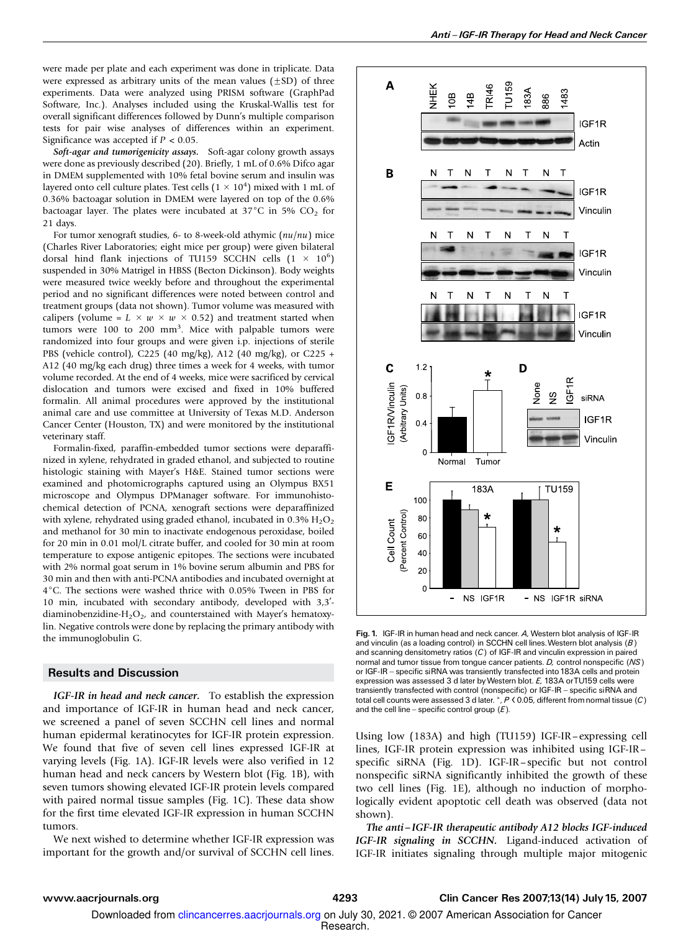were made per plate and each experiment was done in triplicate. Data were expressed as arbitrary units of the mean values  $(\pm SD)$  of three experiments. Data were analyzed using PRISM software (GraphPad Software, Inc.). Analyses included using the Kruskal-Wallis test for overall significant differences followed by Dunn's multiple comparison tests for pair wise analyses of differences within an experiment. Significance was accepted if  $P < 0.05$ .

Soft-agar and tumorigenicity assays. Soft-agar colony growth assays were done as previously described (20). Briefly, 1 mL of 0.6% Difco agar in DMEM supplemented with 10% fetal bovine serum and insulin was layered onto cell culture plates. Test cells  $(1 \times 10^4)$  mixed with 1 mL of 0.36% bactoagar solution in DMEM were layered on top of the 0.6% bactoagar layer. The plates were incubated at  $37^{\circ}$ C in 5% CO<sub>2</sub> for 21 days.

For tumor xenograft studies, 6- to 8-week-old athymic  $(nu/nu)$  mice (Charles River Laboratories; eight mice per group) were given bilateral dorsal hind flank injections of TU159 SCCHN cells  $(1 \times 10^6)$ suspended in 30% Matrigel in HBSS (Becton Dickinson). Body weights were measured twice weekly before and throughout the experimental period and no significant differences were noted between control and treatment groups (data not shown). Tumor volume was measured with calipers (volume =  $L \times w \times w \times 0.52$ ) and treatment started when tumors were 100 to 200 mm<sup>3</sup>. Mice with palpable tumors were randomized into four groups and were given i.p. injections of sterile PBS (vehicle control), C225 (40 mg/kg), A12 (40 mg/kg), or C225 + A12 (40 mg/kg each drug) three times a week for 4 weeks, with tumor volume recorded. At the end of 4 weeks, mice were sacrificed by cervical dislocation and tumors were excised and fixed in 10% buffered formalin. All animal procedures were approved by the institutional animal care and use committee at University of Texas M.D. Anderson Cancer Center (Houston, TX) and were monitored by the institutional veterinary staff.

Formalin-fixed, paraffin-embedded tumor sections were deparaffinized in xylene, rehydrated in graded ethanol, and subjected to routine histologic staining with Mayer's H&E. Stained tumor sections were examined and photomicrographs captured using an Olympus BX51 microscope and Olympus DPManager software. For immunohistochemical detection of PCNA, xenograft sections were deparaffinized with xylene, rehydrated using graded ethanol, incubated in  $0.3\%$   $H_2O_2$ and methanol for 30 min to inactivate endogenous peroxidase, boiled for 20 min in 0.01 mol/L citrate buffer, and cooled for 30 min at room temperature to expose antigenic epitopes. The sections were incubated with 2% normal goat serum in 1% bovine serum albumin and PBS for 30 min and then with anti-PCNA antibodies and incubated overnight at 4°C. The sections were washed thrice with 0.05% Tween in PBS for 10 min, incubated with secondary antibody, developed with  $3,3'$ diaminobenzidine-H<sub>2</sub>O<sub>2</sub>, and counterstained with Mayer's hematoxylin. Negative controls were done by replacing the primary antibody with the immunoglobulin G.

## Results and Discussion

IGF-IR in head and neck cancer. To establish the expression and importance of IGF-IR in human head and neck cancer, we screened a panel of seven SCCHN cell lines and normal human epidermal keratinocytes for IGF-IR protein expression. We found that five of seven cell lines expressed IGF-IR at varying levels (Fig. 1A). IGF-IR levels were also verified in 12 human head and neck cancers by Western blot (Fig. 1B), with seven tumors showing elevated IGF-IR protein levels compared with paired normal tissue samples (Fig. 1C). These data show for the first time elevated IGF-IR expression in human SCCHN tumors.

We next wished to determine whether IGF-IR expression was important for the growth and/or survival of SCCHN cell lines.



Fig. 1. IGF-IR in human head and neck cancer. A, Western blot analysis of IGF-IR and vinculin (as a loading control) in SCCHN cell lines. Western blot analysis  $(B)$ and scanning densitometry ratios  $(C)$  of IGF-IR and vinculin expression in paired normal and tumor tissue from tongue cancer patients. D, control nonspecific (NS) or IGF-IR - specific siRNA was transiently transfected into 183A cells and protein expression was assessed 3 d later byWestern blot. E, 183A orTU159 cells were transiently transfected with control (nonspecific) or IGF-IR - specific siRNA and total cell counts were assessed 3 d later. \*,  $P \lt 0.05$ , different from normal tissue (C) and the cell line - specific control group  $(E)$ .

Using low (183A) and high (TU159) IGF-IR–expressing cell lines, IGF-IR protein expression was inhibited using IGF-IR – specific siRNA (Fig. 1D). IGF-IR – specific but not control nonspecific siRNA significantly inhibited the growth of these two cell lines (Fig. 1E), although no induction of morphologically evident apoptotic cell death was observed (data not shown).

The anti – IGF-IR therapeutic antibody A12 blocks IGF-induced IGF-IR signaling in SCCHN. Ligand-induced activation of IGF-IR initiates signaling through multiple major mitogenic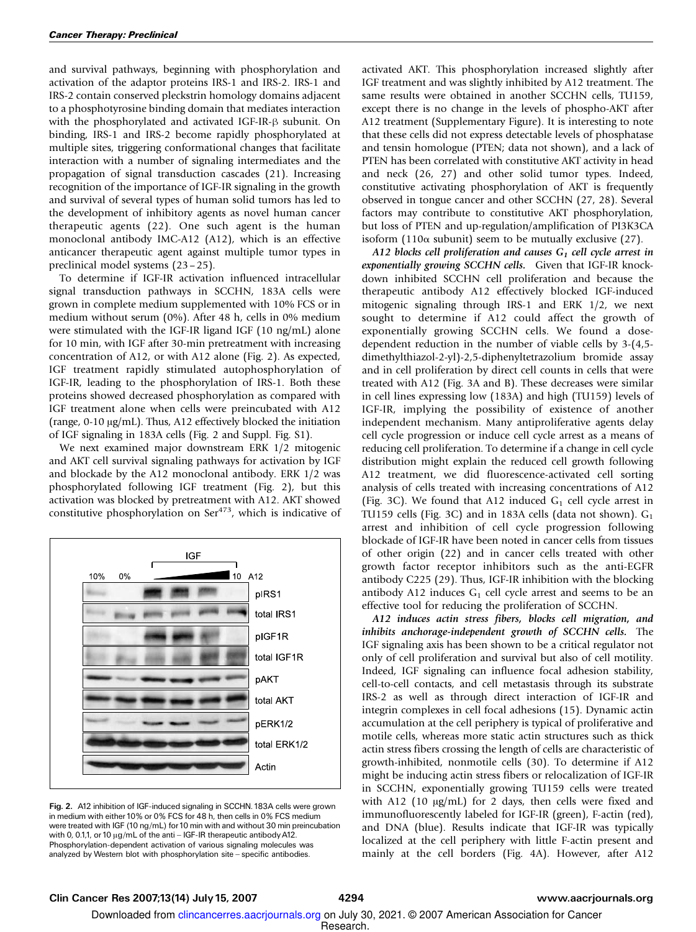and survival pathways, beginning with phosphorylation and activation of the adaptor proteins IRS-1 and IRS-2. IRS-1 and IRS-2 contain conserved pleckstrin homology domains adjacent to a phosphotyrosine binding domain that mediates interaction with the phosphorylated and activated IGF-IR- $\beta$  subunit. On binding, IRS-1 and IRS-2 become rapidly phosphorylated at multiple sites, triggering conformational changes that facilitate interaction with a number of signaling intermediates and the propagation of signal transduction cascades (21). Increasing recognition of the importance of IGF-IR signaling in the growth and survival of several types of human solid tumors has led to the development of inhibitory agents as novel human cancer therapeutic agents (22). One such agent is the human monoclonal antibody IMC-A12 (A12), which is an effective anticancer therapeutic agent against multiple tumor types in preclinical model systems (23 – 25).

To determine if IGF-IR activation influenced intracellular signal transduction pathways in SCCHN, 183A cells were grown in complete medium supplemented with 10% FCS or in medium without serum (0%). After 48 h, cells in 0% medium were stimulated with the IGF-IR ligand IGF (10 ng/mL) alone for 10 min, with IGF after 30-min pretreatment with increasing concentration of A12, or with A12 alone (Fig. 2). As expected, IGF treatment rapidly stimulated autophosphorylation of IGF-IR, leading to the phosphorylation of IRS-1. Both these proteins showed decreased phosphorylation as compared with IGF treatment alone when cells were preincubated with A12 (range,  $0-10 \mu g/mL$ ). Thus, A12 effectively blocked the initiation of IGF signaling in 183A cells (Fig. 2 and Suppl. Fig. S1).

We next examined major downstream ERK 1/2 mitogenic and AKT cell survival signaling pathways for activation by IGF and blockade by the A12 monoclonal antibody. ERK 1/2 was phosphorylated following IGF treatment (Fig. 2), but this activation was blocked by pretreatment with A12. AKT showed constitutive phosphorylation on  $\text{Ser}^{473}$ , which is indicative of



Fig. 2. A12 inhibition of IGF-induced signaling in SCCHN. 183A cells were grown in medium with either 10% or 0% FCS for 48 h, then cells in 0% FCS medium were treated with IGF (10 ng/mL) for 10 min with and without 30 min preincubation with 0, 0.1,1, or 10  $\mu$ g/mL of the anti - IGF-IR therapeutic antibody A12. Phosphorylation-dependent activation of various signaling molecules was analyzed by Western blot with phosphorylation site - specific antibodies.

activated AKT. This phosphorylation increased slightly after IGF treatment and was slightly inhibited by A12 treatment. The same results were obtained in another SCCHN cells, TU159, except there is no change in the levels of phospho-AKT after A12 treatment (Supplementary Figure). It is interesting to note that these cells did not express detectable levels of phosphatase and tensin homologue (PTEN; data not shown), and a lack of PTEN has been correlated with constitutive AKT activity in head and neck (26, 27) and other solid tumor types. Indeed, constitutive activating phosphorylation of AKT is frequently observed in tongue cancer and other SCCHN (27, 28). Several factors may contribute to constitutive AKT phosphorylation, but loss of PTEN and up-regulation/amplification of PI3K3CA isoform (110 $\alpha$  subunit) seem to be mutually exclusive (27).

A12 blocks cell proliferation and causes  $G_1$  cell cycle arrest in exponentially growing SCCHN cells. Given that IGF-IR knockdown inhibited SCCHN cell proliferation and because the therapeutic antibody A12 effectively blocked IGF-induced mitogenic signaling through IRS-1 and ERK 1/2, we next sought to determine if A12 could affect the growth of exponentially growing SCCHN cells. We found a dosedependent reduction in the number of viable cells by 3-(4,5 dimethylthiazol-2-yl)-2,5-diphenyltetrazolium bromide assay and in cell proliferation by direct cell counts in cells that were treated with A12 (Fig. 3A and B). These decreases were similar in cell lines expressing low (183A) and high (TU159) levels of IGF-IR, implying the possibility of existence of another independent mechanism. Many antiproliferative agents delay cell cycle progression or induce cell cycle arrest as a means of reducing cell proliferation. To determine if a change in cell cycle distribution might explain the reduced cell growth following A12 treatment, we did fluorescence-activated cell sorting analysis of cells treated with increasing concentrations of A12 (Fig. 3C). We found that A12 induced  $G_1$  cell cycle arrest in TU159 cells (Fig. 3C) and in 183A cells (data not shown).  $G_1$ arrest and inhibition of cell cycle progression following blockade of IGF-IR have been noted in cancer cells from tissues of other origin (22) and in cancer cells treated with other growth factor receptor inhibitors such as the anti-EGFR antibody C225 (29). Thus, IGF-IR inhibition with the blocking antibody A12 induces  $G_1$  cell cycle arrest and seems to be an effective tool for reducing the proliferation of SCCHN.

A12 induces actin stress fibers, blocks cell migration, and inhibits anchorage-independent growth of SCCHN cells. The IGF signaling axis has been shown to be a critical regulator not only of cell proliferation and survival but also of cell motility. Indeed, IGF signaling can influence focal adhesion stability, cell-to-cell contacts, and cell metastasis through its substrate IRS-2 as well as through direct interaction of IGF-IR and integrin complexes in cell focal adhesions (15). Dynamic actin accumulation at the cell periphery is typical of proliferative and motile cells, whereas more static actin structures such as thick actin stress fibers crossing the length of cells are characteristic of growth-inhibited, nonmotile cells (30). To determine if A12 might be inducing actin stress fibers or relocalization of IGF-IR in SCCHN, exponentially growing TU159 cells were treated with A12 (10  $\mu$ g/mL) for 2 days, then cells were fixed and immunofluorescently labeled for IGF-IR (green), F-actin (red), and DNA (blue). Results indicate that IGF-IR was typically localized at the cell periphery with little F-actin present and mainly at the cell borders (Fig. 4A). However, after A12

## Clin Cancer Res 2007;13(14) July 15, 2007 4294 www.aacrjournals.org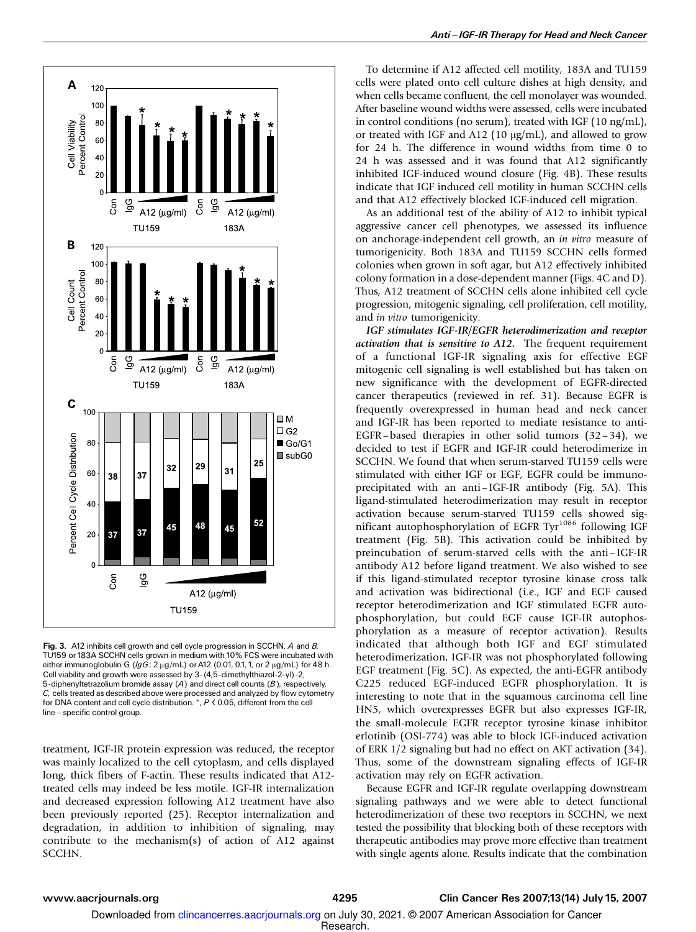

Fig. 3. A12 inhibits cell growth and cell cycle progression in SCCHN. A and B, TU159 or 183A SCCHN cells grown in medium with 10% FCS were incubated with either immunoglobulin G ( $lgG$ ; 2  $\mu$ g/mL) or A12 (0.01, 0.1, 1, or 2  $\mu$ g/mL) for 48 h. Cell viability and growth were assessed by 3-(4,5-dimethylthiazol-2-yl)-2, 5-diphenyltetrazolium bromide assay (A) and direct cell counts (B), respectively. C, cells treated as described above were processed and analyzed by flow cytometry for DNA content and cell cycle distribution. \*, <sup>P</sup> < 0.05, different from the cell line - specific control group.

treatment, IGF-IR protein expression was reduced, the receptor was mainly localized to the cell cytoplasm, and cells displayed long, thick fibers of F-actin. These results indicated that A12 treated cells may indeed be less motile. IGF-IR internalization and decreased expression following A12 treatment have also been previously reported (25). Receptor internalization and degradation, in addition to inhibition of signaling, may contribute to the mechanism(s) of action of A12 against SCCHN.

To determine if A12 affected cell motility, 183A and TU159 cells were plated onto cell culture dishes at high density, and when cells became confluent, the cell monolayer was wounded. After baseline wound widths were assessed, cells were incubated in control conditions (no serum), treated with IGF (10 ng/mL), or treated with IGF and A12 (10  $\mu$ g/mL), and allowed to grow for 24 h. The difference in wound widths from time 0 to 24 h was assessed and it was found that A12 significantly inhibited IGF-induced wound closure (Fig. 4B). These results indicate that IGF induced cell motility in human SCCHN cells and that A12 effectively blocked IGF-induced cell migration.

As an additional test of the ability of A12 to inhibit typical aggressive cancer cell phenotypes, we assessed its influence on anchorage-independent cell growth, an in vitro measure of tumorigenicity. Both 183A and TU159 SCCHN cells formed colonies when grown in soft agar, but A12 effectively inhibited colony formation in a dose-dependent manner (Figs. 4C and D). Thus, A12 treatment of SCCHN cells alone inhibited cell cycle progression, mitogenic signaling, cell proliferation, cell motility, and in vitro tumorigenicity.

IGF stimulates IGF-IR/EGFR heterodimerization and receptor activation that is sensitive to A12. The frequent requirement of a functional IGF-IR signaling axis for effective EGF mitogenic cell signaling is well established but has taken on new significance with the development of EGFR-directed cancer therapeutics (reviewed in ref. 31). Because EGFR is frequently overexpressed in human head and neck cancer and IGF-IR has been reported to mediate resistance to anti-EGFR-based therapies in other solid tumors  $(32-34)$ , we decided to test if EGFR and IGF-IR could heterodimerize in SCCHN. We found that when serum-starved TU159 cells were stimulated with either IGF or EGF, EGFR could be immunoprecipitated with an anti – IGF-IR antibody (Fig. 5A). This ligand-stimulated heterodimerization may result in receptor activation because serum-starved TU159 cells showed significant autophosphorylation of EGFR Tyr<sup>1086</sup> following IGF treatment (Fig. 5B). This activation could be inhibited by preincubation of serum-starved cells with the anti – IGF-IR antibody A12 before ligand treatment. We also wished to see if this ligand-stimulated receptor tyrosine kinase cross talk and activation was bidirectional (i.e., IGF and EGF caused receptor heterodimerization and IGF stimulated EGFR autophosphorylation, but could EGF cause IGF-IR autophosphorylation as a measure of receptor activation). Results indicated that although both IGF and EGF stimulated heterodimerization, IGF-IR was not phosphorylated following EGF treatment (Fig. 5C). As expected, the anti-EGFR antibody C225 reduced EGF-induced EGFR phosphorylation. It is interesting to note that in the squamous carcinoma cell line HN5, which overexpresses EGFR but also expresses IGF-IR, the small-molecule EGFR receptor tyrosine kinase inhibitor erlotinib (OSI-774) was able to block IGF-induced activation of ERK 1/2 signaling but had no effect on AKT activation (34). Thus, some of the downstream signaling effects of IGF-IR activation may rely on EGFR activation.

Because EGFR and IGF-IR regulate overlapping downstream signaling pathways and we were able to detect functional heterodimerization of these two receptors in SCCHN, we next tested the possibility that blocking both of these receptors with therapeutic antibodies may prove more effective than treatment with single agents alone. Results indicate that the combination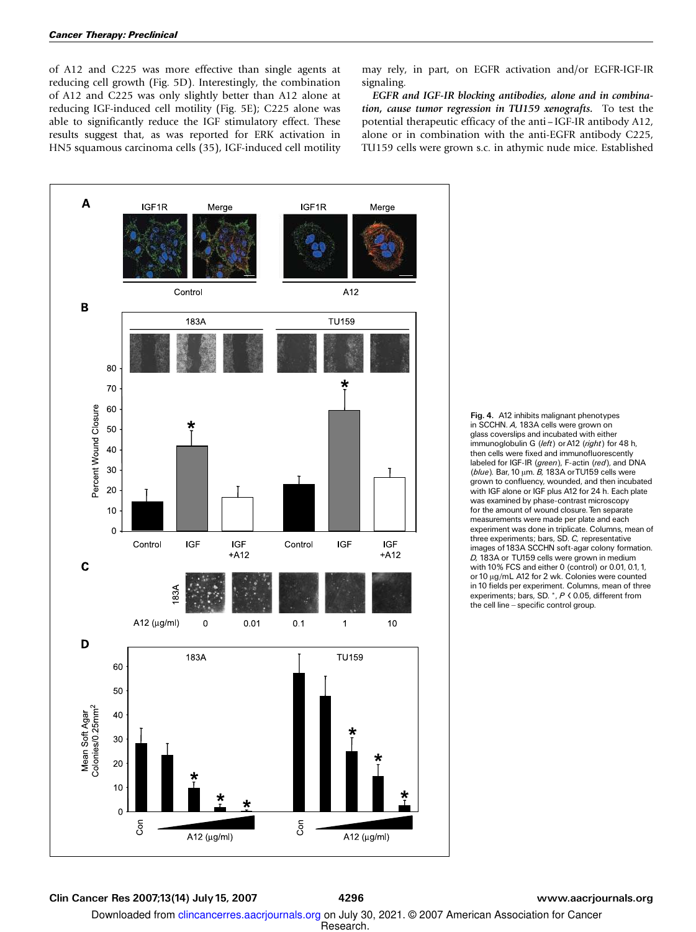of A12 and C225 was more effective than single agents at reducing cell growth (Fig. 5D). Interestingly, the combination of A12 and C225 was only slightly better than A12 alone at reducing IGF-induced cell motility (Fig. 5E); C225 alone was able to significantly reduce the IGF stimulatory effect. These results suggest that, as was reported for ERK activation in HN5 squamous carcinoma cells (35), IGF-induced cell motility may rely, in part, on EGFR activation and/or EGFR-IGF-IR signaling.

EGFR and IGF-IR blocking antibodies, alone and in combination, cause tumor regression in TU159 xenografts. To test the potential therapeutic efficacy of the anti – IGF-IR antibody A12, alone or in combination with the anti-EGFR antibody C225, TU159 cells were grown s.c. in athymic nude mice. Established



Fig. 4. A12 inhibits malignant phenotypes in SCCHN. A, 183A cells were grown on glass coverslips and incubated with either immunoglobulin G (left) or A12 (right) for 48 h, then cells were fixed and immunofluorescently labeled for IGF-IR (green), F-actin (red), and DNA ( $blue$ ). Bar, 10  $\mu$ m.  $B$ , 183A or TU159 cells were grown to confluency, wounded, and then incubated with IGF alone or IGF plus A12 for 24 h. Each plate was examined by phase-contrast microscopy for the amount of wound closure. Ten separate measurements were made per plate and each experiment was done in triplicate. Columns, mean of three experiments; bars, SD. C, representative images of 183A SCCHN soft-agar colony formation. D, 183A or TU159 cells were grown in medium with 10% FCS and either 0 (control) or 0.01, 0.1, 1, or 10  $\mu$ g/mL A12 for 2 wk. Colonies were counted in 10 fields per experiment. Columns, mean of three experiments; bars, SD. \*, <sup>P</sup> < 0.05, different from the cell line - specific control group.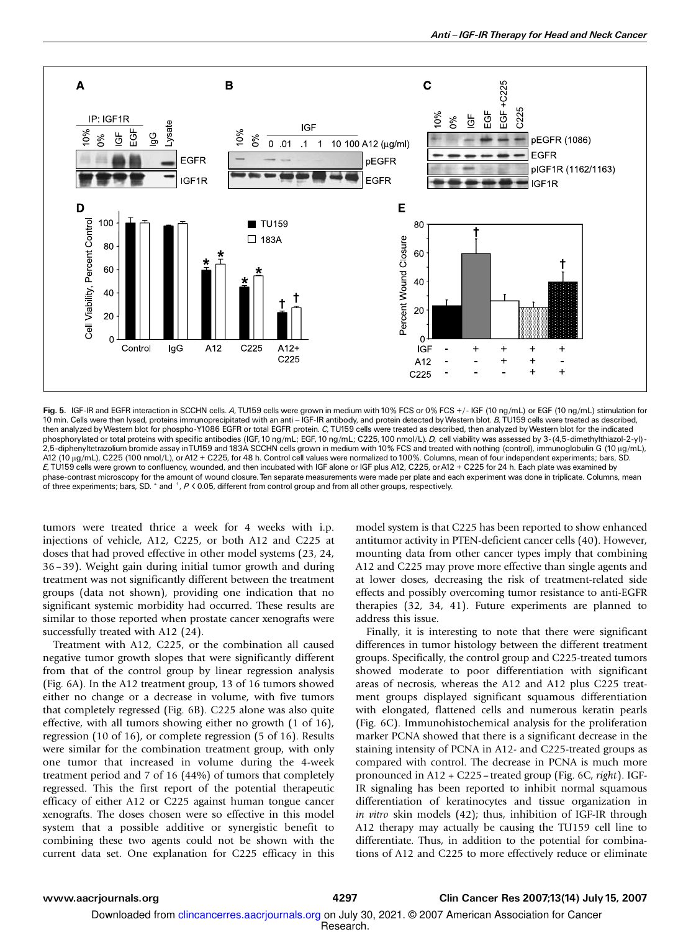

Fig. 5. IGF-IR and EGFR interaction in SCCHN cells. A, TU159 cells were grown in medium with 10% FCS or 0% FCS +/- IGF (10 ng/mL) or EGF (10 ng/mL) stimulation for 10 min. Cells were then lysed, proteins immunoprecipitated with an anti - IGF-IR antibody, and protein detected by Western blot. B, TU159 cells were treated as described, then analyzed byWestern blot for phospho-Y1086 EGFR or total EGFR protein. C, TU159 cells were treated as described, then analyzed byWestern blot for the indicated phosphorylated or total proteins with specific antibodies (IGF, 10 ng/mL; EGF, 10 ng/mL; C225, 100 nmol/L). D, cell viability was assessed by 3-(4,5-dimethylthiazol-2-yl)-2,5-diphenyItetrazolium bromide assay inTU159 and 183A SCCHN cells grown in medium with 10% FCS and treated with nothing (control), immunoglobulin G (10 μg/mL),<br>A12 (10 μg/mL), C225 (100 nmol/L), or A12 + C225, for 48 h. E, TU159 cells were grown to confluency, wounded, and then incubated with IGF alone or IGF plus A12, C225, or A12 + C225 for 24 h. Each plate was examined by phase-contrast microscopy for the amount of wound closure. Ten separate measurements were made per plate and each experiment was done in triplicate. Columns, mean phase contract microscopy for the ameant of focal a secare from control group and from all other groups, respectively.<br>of three experiments; bars, SD. \* and <sup>+</sup>, P < 0.05, different from control group and from all other gr

tumors were treated thrice a week for 4 weeks with i.p. injections of vehicle, A12, C225, or both A12 and C225 at doses that had proved effective in other model systems (23, 24, 36– 39). Weight gain during initial tumor growth and during treatment was not significantly different between the treatment groups (data not shown), providing one indication that no significant systemic morbidity had occurred. These results are similar to those reported when prostate cancer xenografts were successfully treated with A12 (24).

Treatment with A12, C225, or the combination all caused negative tumor growth slopes that were significantly different from that of the control group by linear regression analysis (Fig. 6A). In the A12 treatment group, 13 of 16 tumors showed either no change or a decrease in volume, with five tumors that completely regressed (Fig. 6B). C225 alone was also quite effective, with all tumors showing either no growth (1 of 16), regression (10 of 16), or complete regression (5 of 16). Results were similar for the combination treatment group, with only one tumor that increased in volume during the 4-week treatment period and 7 of 16 (44%) of tumors that completely regressed. This the first report of the potential therapeutic efficacy of either A12 or C225 against human tongue cancer xenografts. The doses chosen were so effective in this model system that a possible additive or synergistic benefit to combining these two agents could not be shown with the current data set. One explanation for C225 efficacy in this model system is that C225 has been reported to show enhanced antitumor activity in PTEN-deficient cancer cells (40). However, mounting data from other cancer types imply that combining A12 and C225 may prove more effective than single agents and at lower doses, decreasing the risk of treatment-related side effects and possibly overcoming tumor resistance to anti-EGFR therapies (32, 34, 41). Future experiments are planned to address this issue.

Finally, it is interesting to note that there were significant differences in tumor histology between the different treatment groups. Specifically, the control group and C225-treated tumors showed moderate to poor differentiation with significant areas of necrosis, whereas the A12 and A12 plus C225 treatment groups displayed significant squamous differentiation with elongated, flattened cells and numerous keratin pearls (Fig. 6C). Immunohistochemical analysis for the proliferation marker PCNA showed that there is a significant decrease in the staining intensity of PCNA in A12- and C225-treated groups as compared with control. The decrease in PCNA is much more pronounced in A12 + C225 – treated group (Fig. 6C, right). IGF-IR signaling has been reported to inhibit normal squamous differentiation of keratinocytes and tissue organization in in vitro skin models (42); thus, inhibition of IGF-IR through A12 therapy may actually be causing the TU159 cell line to differentiate. Thus, in addition to the potential for combinations of A12 and C225 to more effectively reduce or eliminate

Downloaded from clincancerres.aacrjournals.org on July 30, 2021. @ 2007 American Association for Cancer

Research.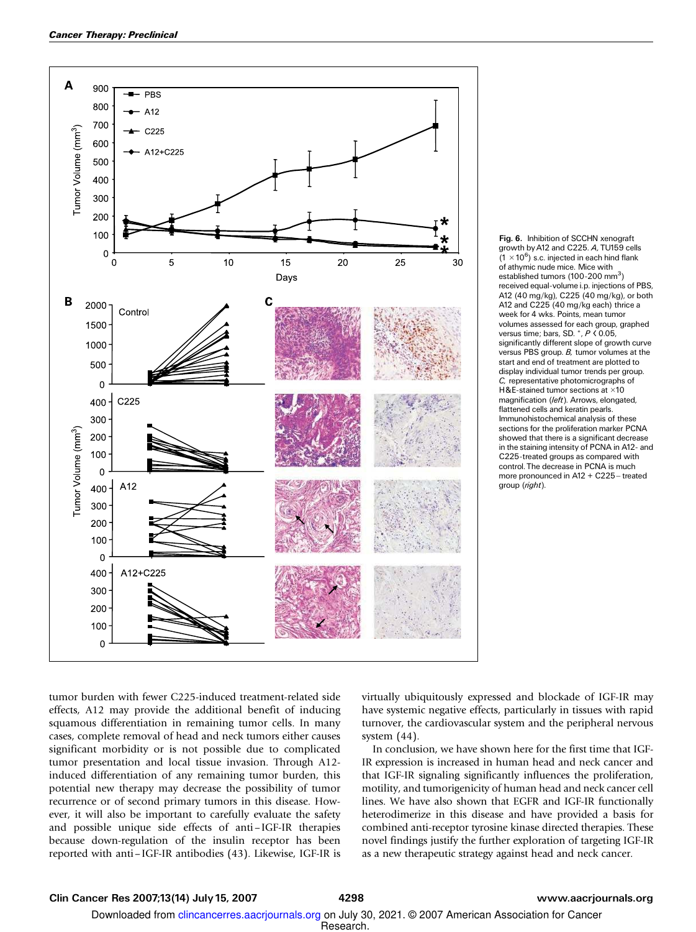

Fig. 6. Inhibition of SCCHN xenograft growth byA12 and C225. A, TU159 cells  $(1 \times 10^6)$  s.c. injected in each hind flank of athymic nude mice. Mice with established tumors (100-200 mm<sup>3</sup>) received equal-volume i.p. injections of PBS, A12 (40 mg/kg), C225 (40 mg/kg), or both A12 and C225 (40 mg/kg each) thrice a week for 4 wks. Points, mean tumor volumes assessed for each group, graphed versus time; bars, SD. \*, <sup>P</sup> < 0.05, significantly different slope of growth curve versus PBS group. B, tumor volumes at the start and end of treatment are plotted to display individual tumor trends per group. C, representative photomicrographs of H&E-stained tumor sections at  $\times 10$ magnification (left). Arrows, elongated, flattened cells and keratin pearls. Immunohistochemical analysis of these sections for the proliferation marker PCNA showed that there is a significant decrease in the staining intensity of PCNA in A12- and C225-treated groups as compared with control. The decrease in PCNA is much more pronounced in A12 + C225 - treated group (right).

tumor burden with fewer C225-induced treatment-related side effects, A12 may provide the additional benefit of inducing squamous differentiation in remaining tumor cells. In many cases, complete removal of head and neck tumors either causes significant morbidity or is not possible due to complicated tumor presentation and local tissue invasion. Through A12 induced differentiation of any remaining tumor burden, this potential new therapy may decrease the possibility of tumor recurrence or of second primary tumors in this disease. However, it will also be important to carefully evaluate the safety and possible unique side effects of anti – IGF-IR therapies because down-regulation of the insulin receptor has been reported with anti– IGF-IR antibodies (43). Likewise, IGF-IR is

virtually ubiquitously expressed and blockade of IGF-IR may have systemic negative effects, particularly in tissues with rapid turnover, the cardiovascular system and the peripheral nervous system (44).

In conclusion, we have shown here for the first time that IGF-IR expression is increased in human head and neck cancer and that IGF-IR signaling significantly influences the proliferation, motility, and tumorigenicity of human head and neck cancer cell lines. We have also shown that EGFR and IGF-IR functionally heterodimerize in this disease and have provided a basis for combined anti-receptor tyrosine kinase directed therapies. These novel findings justify the further exploration of targeting IGF-IR as a new therapeutic strategy against head and neck cancer.

## Clin Cancer Res 2007;13(14) July 15, 2007 4298 www.aacrjournals.org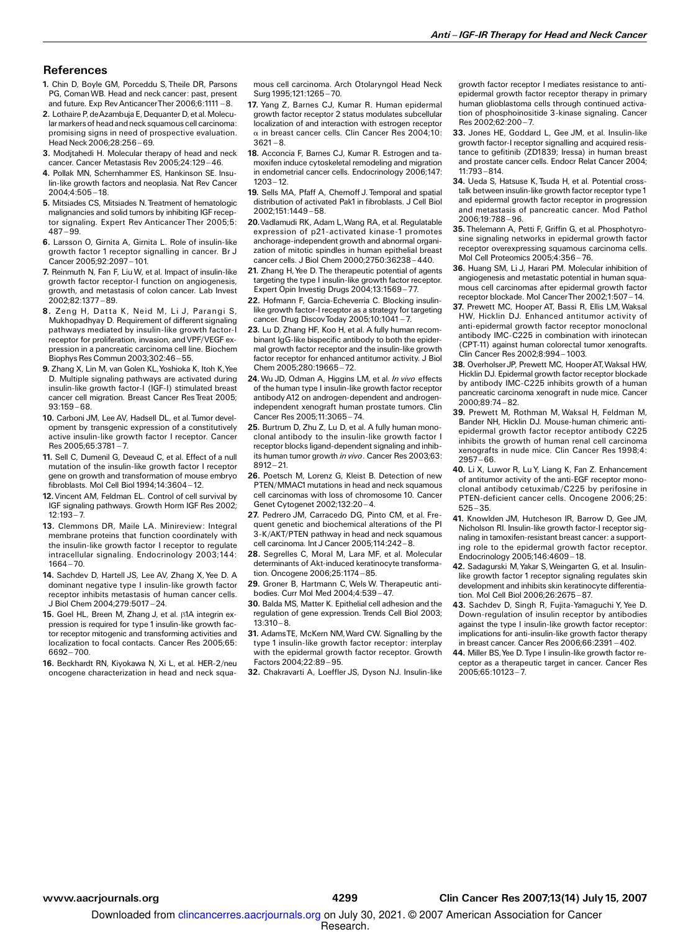## **References**

- 1. Chin D, Boyle GM, Porceddu S, Theile DR, Parsons PG, ComanWB. Head and neck cancer: past, present and future. Exp Rev Anticancer Ther 2006:6:1111 - 8.
- 2. Lothaire P, de Azambuja E, Dequanter D, et al. Molecular markers of head and neck squamous cell carcinoma: promising signs in need of prospective evaluation. Head Neck 2006;28:256-69.
- 3. Modjtahedi H. Molecular therapy of head and neck cancer. Cancer Metastasis Rev 2005;24:129-46.
- 4. Pollak MN, Schernhammer ES, Hankinson SE. Insulin-like growth factors and neoplasia. Nat Rev Cancer 2004;4:505 ^ 18.
- 5. Mitsiades CS, Mitsiades N. Treatment of hematologic malignancies and solid tumors by inhibiting IGF receptor signaling. Expert Rev Anticancer Ther 2005;5:  $487 - 99.$
- 6. Larsson O, Girnita A, Girnita L. Role of insulin-like growth factor 1 receptor signalling in cancer. Br J Cancer 2005;92:2097-101.
- 7. Reinmuth N, Fan F, LiuW, et al. Impact of insulin-like growth factor receptor-I function on angiogenesis, growth, and metastasis of colon cancer. Lab Invest 2002;82:1377 ^ 89.
- 8. Zeng H, Datta K, Neid M, Li J, Parangi S, Mukhopadhyay D. Requirement of different signaling pathways mediated by insulin-like growth factor-I receptor for proliferation, invasion, andVPF/VEGF expression in a pancreatic carcinoma cell line. Biochem Biophys Res Commun 2003;302:46 ^ 55.
- 9. Zhang X, Lin M, van Golen KL, Yoshioka K, Itoh K, Yee D. Multiple signaling pathways are activated during insulin-like growth factor-I (IGF-I) stimulated breast cancer cell migration. Breast Cancer Res Treat 2005;  $93:159 - 68.$
- 10. Carboni JM, Lee AV, Hadsell DL, et al. Tumor development by transgenic expression of a constitutively active insulin-like growth factor I receptor. Cancer  $Res 2005:65:3781 - 7.$
- 11. Sell C, Dumenil G, Deveaud C, et al. Effect of a null mutation of the insulin-like growth factor I receptor gene on growth and transformation of mouse embryo fibroblasts. Mol Cell Biol 1994;14:3604 ^ 12.
- 12.Vincent AM, Feldman EL. Control of cell survival by IGF signaling pathways. Growth Horm IGF Res 2002;  $12:193 - 7.$
- 13. Clemmons DR, Maile LA. Minireview: Integral membrane proteins that function coordinately with the insulin-like growth factor I receptor to regulate intracellular signaling. Endocrinology 2003;144:  $1664 - 70$
- 14. Sachdev D, Hartell JS, Lee AV, Zhang X, Yee D. A dominant negative type I insulin-like growth factor receptor inhibits metastasis of human cancer cells. J Biol Chem 2004;279:5017 ^ 24.
- 15. Goel HL, Breen M, Zhang J, et al.  $\beta$ 1A integrin expression is required for type 1 insulin-like growth factor receptor mitogenic and transforming activities and localization to focal contacts. Cancer Res 2005;65: 6692 - 700.
- 16. Beckhardt RN, Kiyokawa N, Xi L, et al. HER-2/neu oncogene characterization in head and neck squa-

mous cell carcinoma. Arch Otolaryngol Head Neck Surg 1995:121:1265-70.

- 17. Yang Z, Barnes CJ, Kumar R. Human epidermal growth factor receptor 2 status modulates subcellular localization of and interaction with estrogen receptor  $\alpha$  in breast cancer cells. Clin Cancer Res 2004;10:  $3621 - 8.$
- 18. Acconcia F, Barnes CJ, Kumar R. Estrogen and tamoxifen induce cytoskeletal remodeling and migration in endometrial cancer cells. Endocrinology 2006;147:  $1203 - 12$
- 19. Sells MA, Pfaff A, Chernoff J. Temporal and spatial distribution of activated Pak1in fibroblasts. J Cell Biol 2002;151:1449 ^ 58.
- 20. Vadlamudi RK, Adam L, Wang RA, et al. Regulatable expression of p21-activated kinase-1 promotes anchorage-independent growth and abnormal organization of mitotic spindles in human epithelial breast cancer cells. J Biol Chem 2000;2750:36238 ^ 440.
- 21. Zhang H, Yee D. The therapeutic potential of agents targeting the type I insulin-like growth factor receptor. Expert Opin Investig Drugs 2004;13:1569-77.
- 22. Hofmann F, Garcia-Echeverria C. Blocking insulinlike growth factor-I receptor as a strategy for targeting cancer. Drug Discov Today 2005;10:1041-7.
- 23. Lu D, Zhang HF, Koo H, et al. A fully human recombinant IgG-like bispecific antibody to both the epidermal growth factor receptor and the insulin-like growth factor receptor for enhanced antitumor activity. J Biol Chem 2005;280:19665-72.
- 24. Wu JD, Odman A, Higgins LM, et al. In vivo effects of the human type I insulin-like growth factor receptor antibody A12 on androgen-dependent and androgenindependent xenograft human prostate tumors. Clin Cancer Res 2005:11:3065-74.
- 25. Burtrum D, Zhu Z, Lu D, et al. A fully human monoclonal antibody to the insulin-like growth factor I receptor blocks ligand-dependent signaling and inhibits human tumor growth in vivo. Cancer Res 2003;63:  $8912 - 21.$
- 26. Poetsch M, Lorenz G, Kleist B. Detection of new PTEN/MMAC1 mutations in head and neck squamous cell carcinomas with loss of chromosome 10. Cancer Genet Cytogenet 2002;132:20-4.
- 27. Pedrero JM, Carracedo DG, Pinto CM, et al. Frequent genetic and biochemical alterations of the PI 3-K/AKT/PTEN pathway in head and neck squamous cell carcinoma. Int J Cancer 2005;114:242-8.
- 28. Segrelles C, Moral M, Lara MF, et al. Molecular determinants of Akt-induced keratinocyte transformation. Oncogene 2006;25:1174-85.
- 29. Groner B, Hartmann C, Wels W. Therapeutic antibodies. Curr Mol Med 2004;4:539 ^ 47.
- 30. Balda MS, Matter K. Epithelial cell adhesion and the regulation of gene expression. Trends Cell Biol 2003;  $13:310 - 8.$
- 31. AdamsTE, McKern NM,Ward CW. Signalling by the type 1 insulin-like growth factor receptor: interplay with the epidermal growth factor receptor. Growth Factors 2004:22:89-95.
- 32. Chakravarti A, Loeffler JS, Dyson NJ. Insulin-like

growth factor receptor I mediates resistance to antiepidermal growth factor receptor therapy in primary human glioblastoma cells through continued activation of phosphoinositide 3-kinase signaling. Cancer Res 2002:62:200-7.

- 33. Jones HE, Goddard L, Gee JM, et al. Insulin-like growth factor-I receptor signalling and acquired resistance to gefitinib (ZD1839; Iressa) in human breast and prostate cancer cells. Endocr Relat Cancer 2004;  $11.793 - 814.$
- 34. Ueda S, Hatsuse K, Tsuda H, et al. Potential crosstalk between insulin-like growth factor receptor type 1 and epidermal growth factor receptor in progression and metastasis of pancreatic cancer. Mod Pathol 2006;19:788 ^ 96.
- 35. Thelemann A, Petti F, Griffin G, et al. Phosphotyrosine signaling networks in epidermal growth factor receptor overexpressing squamous carcinoma cells. Mol Cell Proteomics 2005;4:356 ^ 76.
- 36. Huang SM, Li J, Harari PM. Molecular inhibition of angiogenesis and metastatic potential in human squamous cell carcinomas after epidermal growth factor receptor blockade. Mol CancerTher 2002;1:507-14.
- 37. Prewett MC, Hooper AT, Bassi R, Ellis LM, Waksal HW, Hicklin DJ. Enhanced antitumor activity of anti-epidermal growth factor receptor monoclonal antibody IMC-C225 in combination with irinotecan (CPT-11) against human colorectal tumor xenografts. Clin Cancer Res 2002;8:994 ^ 1003.
- 38. Overholser JP, Prewett MC, Hooper AT, Waksal HW, Hicklin DJ. Epidermal growth factor receptor blockade by antibody IMC-C225 inhibits growth of a human pancreatic carcinoma xenograft in nude mice. Cancer 2000;89:74 ^ 82.
- 39. Prewett M, Rothman M, Waksal H, Feldman M, Bander NH, Hicklin DJ. Mouse-human chimeric antiepidermal growth factor receptor antibody C225 inhibits the growth of human renal cell carcinoma xenografts in nude mice. Clin Cancer Res 1998;4:  $2957 - 66.$
- 40. Li X, Luwor R, Lu Y, Liang K, Fan Z. Enhancement of antitumor activity of the anti-EGF receptor monoclonal antibody cetuximab/C225 by perifosine in PTEN-deficient cancer cells. Oncogene 2006;25:  $525 - 35.$
- 41. Knowlden JM, Hutcheson IR, Barrow D, Gee JM, Nicholson RI. Insulin-like growth factor-I receptor signaling in tamoxifen-resistant breast cancer: a supporting role to the epidermal growth factor receptor. Endocrinology 2005;146:4609 ^ 18.
- 42. Sadagurski M,Yakar S,Weingarten G, et al. Insulinlike growth factor 1 receptor signaling regulates skin development and inhibits skin keratinocyte differentiation. Mol Cell Biol 2006:26:2675-87.
- 43. Sachdev D, Singh R, Fujita-Yamaguchi Y, Yee D. Down-regulation of insulin receptor by antibodies against the type I insulin-like growth factor receptor: implications for anti-insulin-like growth factor therapy in breast cancer. Cancer Res 2006;66:2391 ^ 402.
- 44. Miller BS,Yee D. Type I insulin-like growth factor receptor as a therapeutic target in cancer. Cancer Res  $2005:65:10123 - 7.$

Downloaded from clincancerres.aacrjournals.org on July 30, 2021. @ 2007 American Association for Cancer

Research.